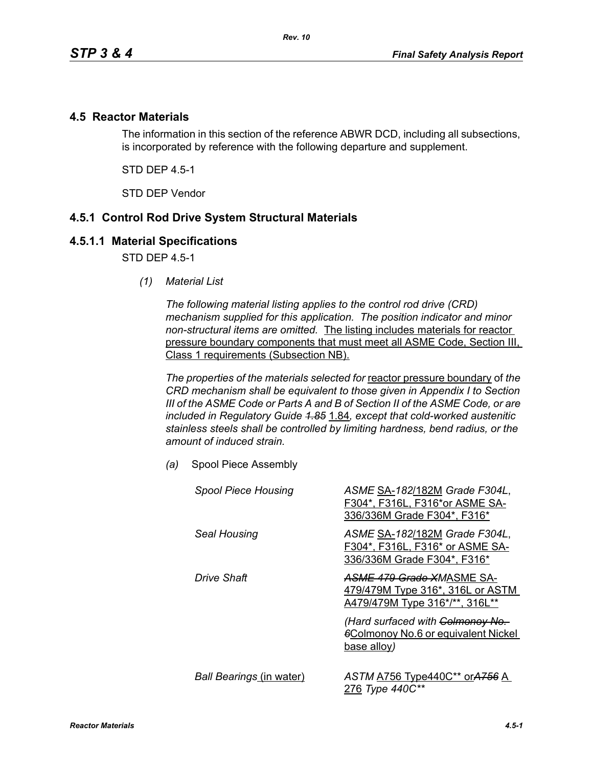## **4.5 Reactor Materials**

The information in this section of the reference ABWR DCD, including all subsections, is incorporated by reference with the following departure and supplement.

STD DEP 4.5-1

STD DEP Vendor

## **4.5.1 Control Rod Drive System Structural Materials**

#### **4.5.1.1 Material Specifications**

STD DFP 45-1

*(1) Material List*

*The following material listing applies to the control rod drive (CRD) mechanism supplied for this application. The position indicator and minor non-structural items are omitted.* The listing includes materials for reactor pressure boundary components that must meet all ASME Code, Section III, Class 1 requirements (Subsection NB).

*The properties of the materials selected for* reactor pressure boundary of *the CRD mechanism shall be equivalent to those given in Appendix I to Section III of the ASME Code or Parts A and B of Section II of the ASME Code, or are included in Regulatory Guide 1.85* 1.84*, except that cold-worked austenitic stainless steels shall be controlled by limiting hardness, bend radius, or the amount of induced strain.*

*(a)* Spool Piece Assembly

| <b>Spool Piece Housing</b>      | ASME SA-182/182M Grade F304L,<br>F304*, F316L, F316*or ASME SA-<br>336/336M Grade F304*, F316*  |
|---------------------------------|-------------------------------------------------------------------------------------------------|
| Seal Housing                    | ASME SA-182/182M Grade F304L,<br>F304*, F316L, F316* or ASME SA-<br>336/336M Grade F304*, F316* |
| Drive Shaft                     | ASME 479 Grade XMASME SA-<br>479/479M Type 316*, 316L or ASTM<br>A479/479M Type 316*/**, 316L** |
|                                 | (Hard surfaced with Colmonoy No.<br><b>6Colmonoy No.6 or equivalent Nickel</b><br>base alloy)   |
| <b>Ball Bearings (in water)</b> | ASTM A756 Type440C** or A756 A<br>276 Type 440C**                                               |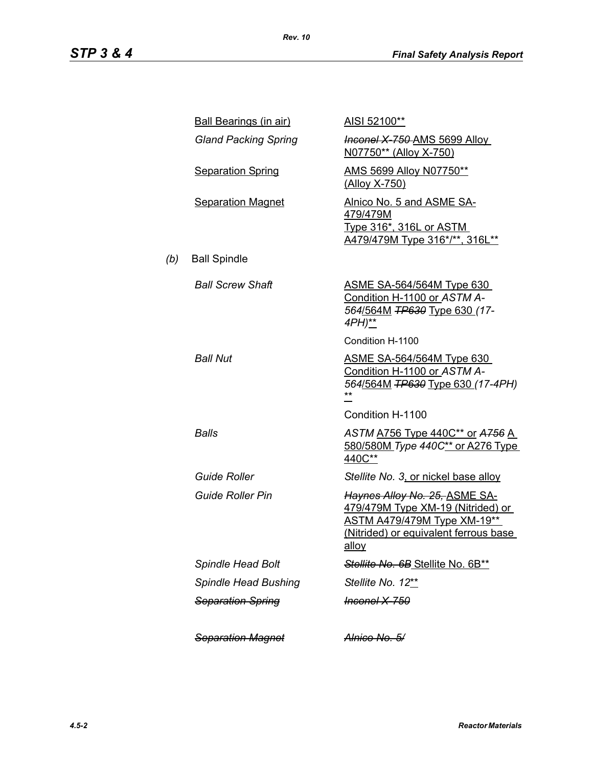|     | <b>Ball Bearings (in air)</b> | AISI 52100**                                                                                                                                                      |
|-----|-------------------------------|-------------------------------------------------------------------------------------------------------------------------------------------------------------------|
|     | <b>Gland Packing Spring</b>   | <b>Inconel X 750 AMS 5699 Alloy</b><br>N07750** (Alloy X-750)                                                                                                     |
|     | <b>Separation Spring</b>      | AMS 5699 Alloy N07750**<br>(Alloy X-750)                                                                                                                          |
|     | <b>Separation Magnet</b>      | Alnico No. 5 and ASME SA-<br>479/479M<br><u>Type 316*, 316L or ASTM</u><br>A479/479M Type 316*/**, 316L**                                                         |
| (b) | <b>Ball Spindle</b>           |                                                                                                                                                                   |
|     | <b>Ball Screw Shaft</b>       | <u>ASME SA-564/564M Type 630</u><br>Condition H-1100 or ASTM A-<br>564/564M TP630 Type 630 (17-<br>4PH)**                                                         |
|     |                               | Condition H-1100                                                                                                                                                  |
|     | <b>Ball Nut</b>               | <u>ASME SA-564/564M Type 630</u><br>Condition H-1100 or ASTM A-<br>564/564M TP630 Type 630 (17-4PH)                                                               |
|     |                               | Condition H-1100                                                                                                                                                  |
|     | Balls                         | ASTM A756 Type 440C** or A756 A<br>580/580M Type 440C** or A276 Type<br>440C**                                                                                    |
|     | <b>Guide Roller</b>           | Stellite No. 3, or nickel base alloy                                                                                                                              |
|     | <b>Guide Roller Pin</b>       | Haynes Alloy No. 25, ASME SA-<br>479/479M Type XM-19 (Nitrided) or<br><b>ASTM A479/479M Type XM-19**</b><br>(Nitrided) or equivalent ferrous base<br><u>alloy</u> |
|     | <b>Spindle Head Bolt</b>      | Stellite No. 6B Stellite No. 6B**                                                                                                                                 |
|     | Spindle Head Bushing          | Stellite No. 12**                                                                                                                                                 |
|     | <b>Separation Spring</b>      | <del>Inconel X-750</del>                                                                                                                                          |
|     | <b>Separation Magnet</b>      | <del>Alnico No. 5/</del>                                                                                                                                          |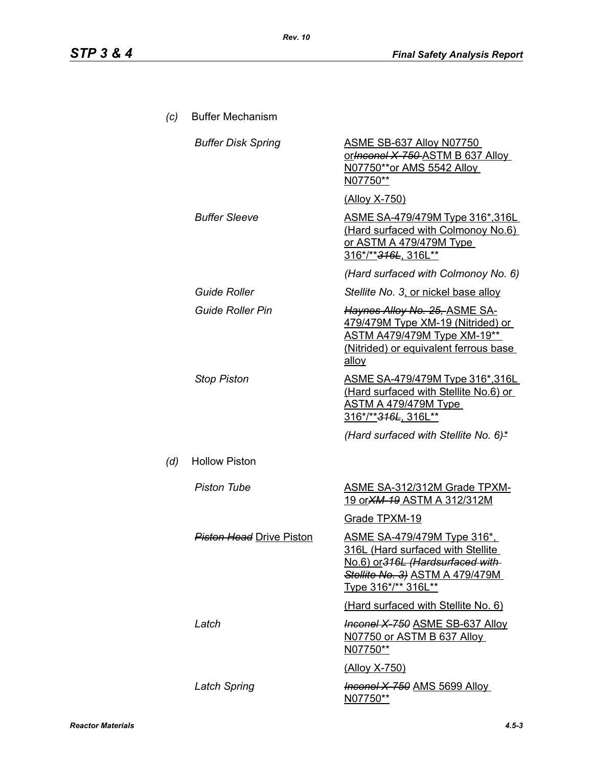| (c) | <b>Buffer Mechanism</b>         |                                                                                                                                                                               |
|-----|---------------------------------|-------------------------------------------------------------------------------------------------------------------------------------------------------------------------------|
|     | <b>Buffer Disk Spring</b>       | <u>ASME SB-637 Alloy N07750</u><br>or Inconel X 750 ASTM B 637 Alloy<br>N07750**or AMS 5542 Alloy<br>N07750**                                                                 |
|     |                                 | <u>(Alloy X-750)</u>                                                                                                                                                          |
|     | <b>Buffer Sleeve</b>            | ASME SA-479/479M Type 316*,316L<br>(Hard surfaced with Colmonoy No.6)<br><u>or ASTM A 479/479M Type</u><br>316*/** <del>316L</del> , 316L**                                   |
|     |                                 | (Hard surfaced with Colmonoy No. 6)                                                                                                                                           |
|     | <b>Guide Roller</b>             | Stellite No. 3, or nickel base alloy                                                                                                                                          |
|     | <b>Guide Roller Pin</b>         | Haynes Alloy No. 25, ASME SA-<br>479/479M Type XM-19 (Nitrided) or<br><b>ASTM A479/479M Type XM-19**</b><br>(Nitrided) or equivalent ferrous base<br>alloy                    |
|     | <b>Stop Piston</b>              | ASME SA-479/479M Type 316*,316L<br>(Hard surfaced with Stellite No.6) or<br><u>ASTM A 479/479M Type_</u><br>316*/**316L, 316L**                                               |
|     |                                 | (Hard surfaced with Stellite No. 6)*                                                                                                                                          |
| (d) | <b>Hollow Piston</b>            |                                                                                                                                                                               |
|     | <b>Piston Tube</b>              | <b>ASME SA-312/312M Grade TPXM-</b><br><u>19 or XM-19 ASTM A 312/312M</u>                                                                                                     |
|     |                                 | Grade TPXM-19                                                                                                                                                                 |
|     | <b>Piston Head</b> Drive Piston | <u>ASME SA-479/479M Type 316*,</u><br><u>316L (Hard surfaced with Stellite.</u><br>No.6) or 316L (Hardsurfaced with<br>Stellite No. 3) ASTM A 479/479M<br>Type 316*/** 316L** |
|     |                                 | (Hard surfaced with Stellite No. 6)                                                                                                                                           |
|     | Latch                           | <b>Inconel X-750 ASME SB-637 Alloy</b><br>N07750 or ASTM B 637 Alloy<br>N07750**                                                                                              |
|     |                                 | (Alloy X-750)                                                                                                                                                                 |
|     | <b>Latch Spring</b>             | <b>Inconel X-750 AMS 5699 Alloy</b><br><u>N07750**</u>                                                                                                                        |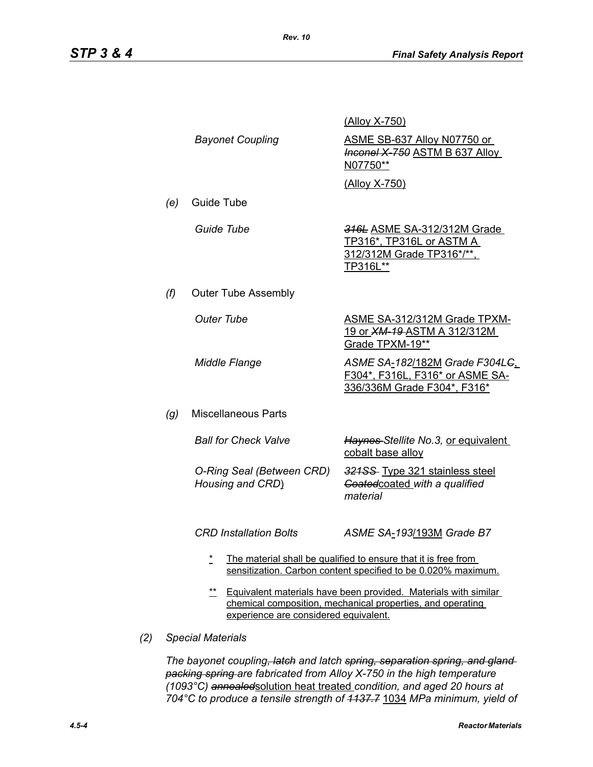|     |                                                                                                                                                                                 |                                               | <u>(Alloy X-750)</u>                                                                                                            |
|-----|---------------------------------------------------------------------------------------------------------------------------------------------------------------------------------|-----------------------------------------------|---------------------------------------------------------------------------------------------------------------------------------|
|     |                                                                                                                                                                                 | <b>Bayonet Coupling</b>                       | ASME SB-637 Alloy N07750 or<br><b>Inconel X-750 ASTM B 637 Alloy</b><br>N07750**                                                |
|     |                                                                                                                                                                                 |                                               | (Alloy X-750)                                                                                                                   |
|     | (e)                                                                                                                                                                             | Guide Tube                                    |                                                                                                                                 |
|     |                                                                                                                                                                                 | Guide Tube                                    | 316L ASME SA-312/312M Grade<br>TP316*, TP316L or ASTM A<br>312/312M Grade TP316*/**,<br>TP316L**                                |
|     | (f)                                                                                                                                                                             | <b>Outer Tube Assembly</b>                    |                                                                                                                                 |
|     |                                                                                                                                                                                 | <b>Outer Tube</b>                             | <b>ASME SA-312/312M Grade TPXM-</b><br>19 or <b>XM-19-ASTM A 312/312M</b><br>Grade TPXM-19**                                    |
|     |                                                                                                                                                                                 | <b>Middle Flange</b>                          | ASME SA-182/182M Grade F304L <del>C</del><br>F304*, F316L, F316* or ASME SA-<br>336/336M Grade F304*, F316*                     |
|     | (g)                                                                                                                                                                             | <b>Miscellaneous Parts</b>                    |                                                                                                                                 |
|     |                                                                                                                                                                                 | <b>Ball for Check Valve</b>                   | Haynes-Stellite No.3, or equivalent<br>cobalt base alloy                                                                        |
|     |                                                                                                                                                                                 | O-Ring Seal (Between CRD)<br>Housing and CRD) | 321SS Type 321 stainless steel<br>Goated coated with a qualified<br>material                                                    |
|     |                                                                                                                                                                                 | <b>CRD Installation Bolts</b>                 | ASME SA-193/193M Grade B7                                                                                                       |
|     |                                                                                                                                                                                 | $\star$                                       | The material shall be qualified to ensure that it is free from<br>sensitization. Carbon content specified to be 0.020% maximum. |
|     | $***$<br>Equivalent materials have been provided. Materials with similar<br>chemical composition, mechanical properties, and operating<br>experience are considered equivalent. |                                               |                                                                                                                                 |
| (2) | <b>Special Materials</b>                                                                                                                                                        |                                               |                                                                                                                                 |

*The bayonet coupling, latch and latch spring, separation spring, and gland packing spring are fabricated from Alloy X-750 in the high temperature (1093°C) annealed*solution heat treated *condition, and aged 20 hours at 704°C to produce a tensile strength of 1137.7* 1034 *MPa minimum, yield of*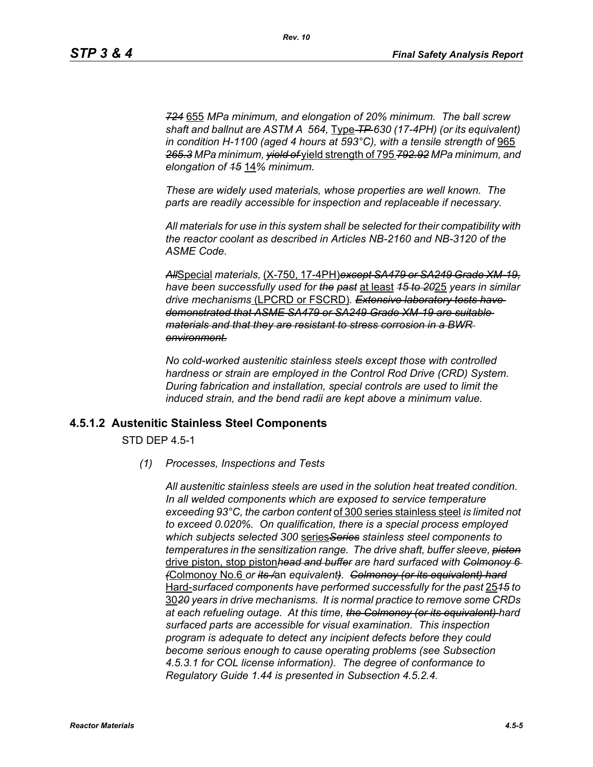*724* 655 *MPa minimum, and elongation of 20% minimum. The ball screw shaft and ballnut are ASTM A 564,* Type *TP 630 (17-4PH) (or its equivalent) in condition H-1100 (aged 4 hours at 593°C), with a tensile strength of* 965 *265.3 MPa minimum, yield of* yield strength of 795 *792.92 MPa minimum, and elongation of 15* 14*% minimum.*

*These are widely used materials, whose properties are well known. The parts are readily accessible for inspection and replaceable if necessary.*

*All materials for use in this system shall be selected for their compatibility with the reactor coolant as described in Articles NB-2160 and NB-3120 of the ASME Code.*

*All*Special *materials,* (X-750, 17-4PH)*except SA479 or SA249 Grade XM-19, have been successfully used for the past* at least *15 to 20*25 *years in similar drive mechanisms* (LPCRD or FSCRD)*. Extensive laboratory tests have demonstrated that ASME SA479 or SA249 Grade XM-19 are suitable materials and that they are resistant to stress corrosion in a BWR environment.*

*No cold-worked austenitic stainless steels except those with controlled hardness or strain are employed in the Control Rod Drive (CRD) System. During fabrication and installation, special controls are used to limit the induced strain, and the bend radii are kept above a minimum value.*

#### **4.5.1.2 Austenitic Stainless Steel Components**

STD DEP 4.5-1

*(1) Processes, Inspections and Tests*

*All austenitic stainless steels are used in the solution heat treated condition. In all welded components which are exposed to service temperature exceeding 93°C, the carbon content* of 300 series stainless steel *is limited not to exceed 0.020%. On qualification, there is a special process employed which subjects selected 300* series*Series stainless steel components to temperatures in the sensitization range. The drive shaft, buffer sleeve, piston* drive piston, stop piston*head and buffer are hard surfaced with Colmonoy 6 (*Colmonoy No.6 *or its /*an *equivalent). Colmonoy (or its equivalent) hard* Hard-*surfaced components have performed successfully for the past* 25*15 to* 30*20 years in drive mechanisms. It is normal practice to remove some CRDs at each refueling outage. At this time, the Colmonoy (or its equivalent) hard surfaced parts are accessible for visual examination. This inspection program is adequate to detect any incipient defects before they could become serious enough to cause operating problems (see Subsection 4.5.3.1 for COL license information). The degree of conformance to Regulatory Guide 1.44 is presented in Subsection 4.5.2.4.*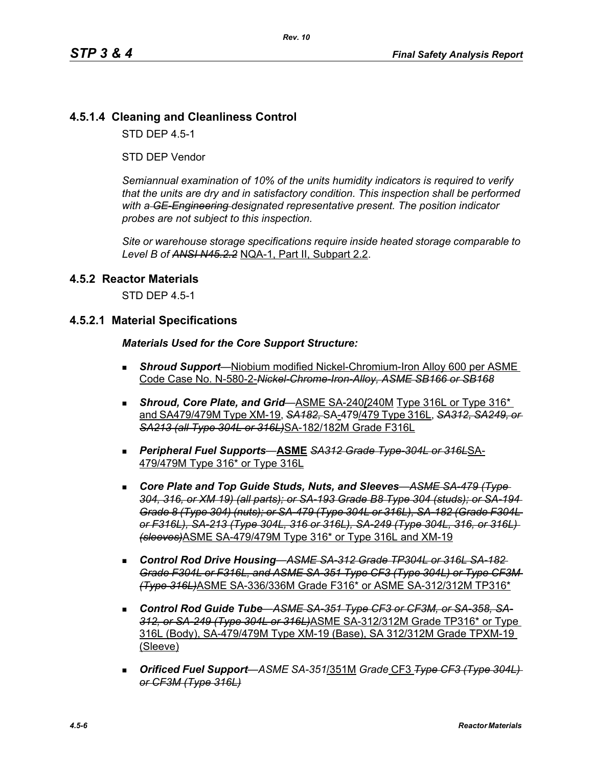# **4.5.1.4 Cleaning and Cleanliness Control**

STD DEP 4.5-1

STD DEP Vendor

*Semiannual examination of 10% of the units humidity indicators is required to verify that the units are dry and in satisfactory condition. This inspection shall be performed with a GE-Engineering designated representative present. The position indicator probes are not subject to this inspection.*

*Site or warehouse storage specifications require inside heated storage comparable to Level B of ANSI N45.2.2* NQA-1, Part II, Subpart 2.2.

#### **4.5.2 Reactor Materials**

STD DEP 4.5-1

#### **4.5.2.1 Material Specifications**

#### *Materials Used for the Core Support Structure:*

- *Shroud Support*—Niobium modified Nickel-Chromium-Iron Alloy 600 per ASME Code Case No. N-580-2-*Nickel-Chrome-Iron-Alloy, ASME SB166 or SB168*
- **Shroud, Core Plate, and Grid**—ASME SA-240/240M Type 316L or Type 316\* and SA479/479M Type XM-19, *SA182,* SA-479/479 Type 316L, *SA312, SA249, or SA213 (all Type 304L or 316L)*SA-182/182M Grade F316L
- *Peripheral Fuel Supports*—**ASME** *SA312 Grade Type-304L or 316L*SA-479/479M Type 316\* or Type 316L
- *Core Plate and Top Guide Studs, Nuts, and Sleeves*—*ASME SA-479 (Type 304, 316, or XM 19) (all parts); or SA-193 Grade B8 Type 304 (studs); or SA-194 Grade 8 (Type 304) (nuts); or SA-479 (Type 304L or 316L), SA-182 (Grade F304L or F316L), SA-213 (Type 304L, 316 or 316L), SA-249 (Type 304L, 316, or 316L) (sleeves)*ASME SA-479/479M Type 316\* or Type 316L and XM-19
- *Control Rod Drive Housing*—*ASME SA-312 Grade TP304L or 316L SA-182 Grade F304L or F316L, and ASME SA-351 Type CF3 (Type 304L) or Type CF3M (Type 316L)*ASME SA-336/336M Grade F316\* or ASME SA-312/312M TP316\*
- *Control Rod Guide Tube*—*ASME SA-351 Type CF3 or CF3M, or SA-358, SA-312, or SA-249 (Type 304L or 316L)*ASME SA-312/312M Grade TP316\* or Type 316L (Body), SA-479/479M Type XM-19 (Base), SA 312/312M Grade TPXM-19 (Sleeve)
- *Orificed Fuel Support*—*ASME SA-351*/351M *Grade* CF3 *Type CF3 (Type 304L) or CF3M (Type 316L)*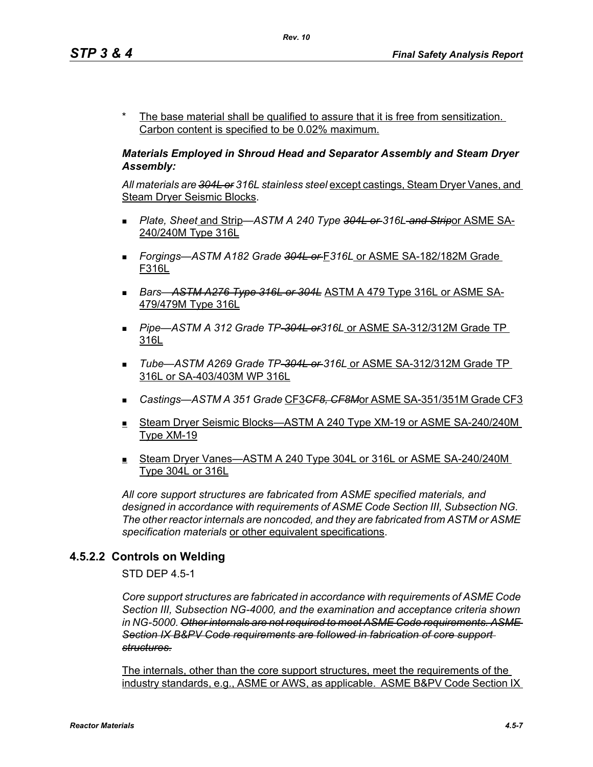The base material shall be qualified to assure that it is free from sensitization. Carbon content is specified to be 0.02% maximum.

#### *Materials Employed in Shroud Head and Separator Assembly and Steam Dryer Assembly:*

*All materials are 304L or 316L stainless steel* except castings, Steam Dryer Vanes, and Steam Dryer Seismic Blocks.

- *Plate, Sheet* and Strip—*ASTM A 240 Type 304L or 316L and Strip*or ASME SA-240/240M Type 316L
- *Forgings—ASTM A182 Grade 304L or* F*316L* or ASME SA-182/182M Grade F316L
- *Bars*—*ASTM A276 Type 316L or 304L* ASTM A 479 Type 316L or ASME SA-479/479M Type 316L
- *Pipe*—*ASTM A 312 Grade TP-304L or316L* or ASME SA-312/312M Grade TP 316L
- *Tube*—*ASTM A269 Grade TP-304L or 316L* or ASME SA-312/312M Grade TP 316L or SA-403/403M WP 316L
- *Castings—ASTM A 351 Grade* CF3*CF8, CF8M*or ASME SA-351/351M Grade CF3
- Steam Dryer Seismic Blocks—ASTM A 240 Type XM-19 or ASME SA-240/240M Type XM-19
- Steam Dryer Vanes—ASTM A 240 Type 304L or 316L or ASME SA-240/240M Type 304L or 316L

*All core support structures are fabricated from ASME specified materials, and designed in accordance with requirements of ASME Code Section III, Subsection NG. The other reactor internals are noncoded, and they are fabricated from ASTM or ASME specification materials* or other equivalent specifications.

# **4.5.2.2 Controls on Welding**

STD DEP 4.5-1

*Core support structures are fabricated in accordance with requirements of ASME Code Section III, Subsection NG-4000, and the examination and acceptance criteria shown in NG-5000. Other internals are not required to meet ASME Code requirements. ASME Section IX B&PV Code requirements are followed in fabrication of core support structures.*

The internals, other than the core support structures, meet the requirements of the industry standards, e.g., ASME or AWS, as applicable. ASME B&PV Code Section IX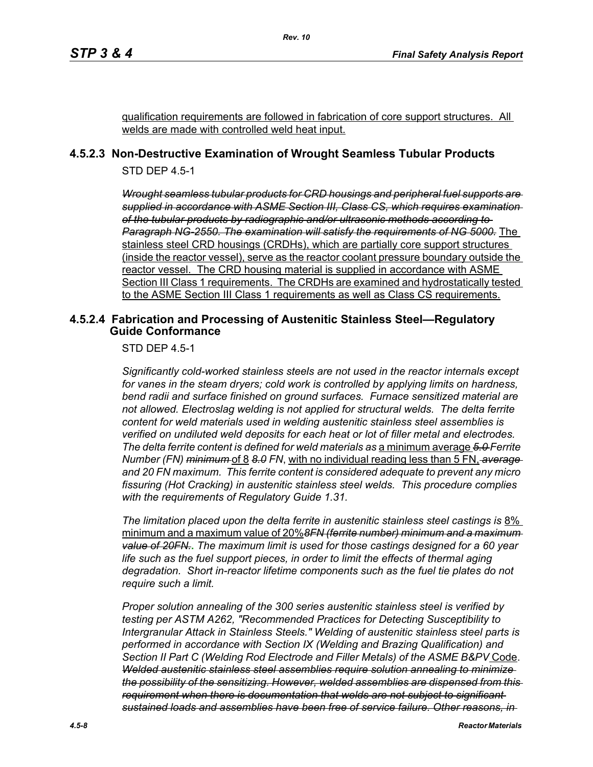qualification requirements are followed in fabrication of core support structures. All welds are made with controlled weld heat input.

# **4.5.2.3 Non-Destructive Examination of Wrought Seamless Tubular Products**

STD DEP 4.5-1

*Wrought seamless tubular products for CRD housings and peripheral fuel supports are supplied in accordance with ASME Section III, Class CS, which requires examination of the tubular products by radiographic and/or ultrasonic methods according to Paragraph NG-2550. The examination will satisfy the requirements of NG 5000.* The stainless steel CRD housings (CRDHs), which are partially core support structures (inside the reactor vessel), serve as the reactor coolant pressure boundary outside the reactor vessel. The CRD housing material is supplied in accordance with ASME Section III Class 1 requirements. The CRDHs are examined and hydrostatically tested to the ASME Section III Class 1 requirements as well as Class CS requirements.

### **4.5.2.4 Fabrication and Processing of Austenitic Stainless Steel—Regulatory Guide Conformance**

STD DEP 4.5-1

*Significantly cold-worked stainless steels are not used in the reactor internals except for vanes in the steam dryers; cold work is controlled by applying limits on hardness, bend radii and surface finished on ground surfaces. Furnace sensitized material are not allowed. Electroslag welding is not applied for structural welds. The delta ferrite content for weld materials used in welding austenitic stainless steel assemblies is verified on undiluted weld deposits for each heat or lot of filler metal and electrodes. The delta ferrite content is defined for weld materials as* a minimum average *5.0 Ferrite Number (FN) minimum* of 8 *8.0 FN*, with no individual reading less than 5 FN, *average and 20 FN maximum. This ferrite content is considered adequate to prevent any micro fissuring (Hot Cracking) in austenitic stainless steel welds. This procedure complies with the requirements of Regulatory Guide 1.31.*

*The limitation placed upon the delta ferrite in austenitic stainless steel castings is* 8% minimum and a maximum value of 20%*8FN (ferrite number) minimum and a maximum value of 20FN.***.** *The maximum limit is used for those castings designed for a 60 year life such as the fuel support pieces, in order to limit the effects of thermal aging degradation. Short in-reactor lifetime components such as the fuel tie plates do not require such a limit.*

*Proper solution annealing of the 300 series austenitic stainless steel is verified by testing per ASTM A262, "Recommended Practices for Detecting Susceptibility to Intergranular Attack in Stainless Steels." Welding of austenitic stainless steel parts is performed in accordance with Section IX (Welding and Brazing Qualification) and Section II Part C (Welding Rod Electrode and Filler Metals) of the ASME B&PV* Code. *Welded austenitic stainless steel assemblies require solution annealing to minimize the possibility of the sensitizing. However, welded assemblies are dispensed from this requirement when there is documentation that welds are not subject to significant sustained loads and assemblies have been free of service failure. Other reasons, in*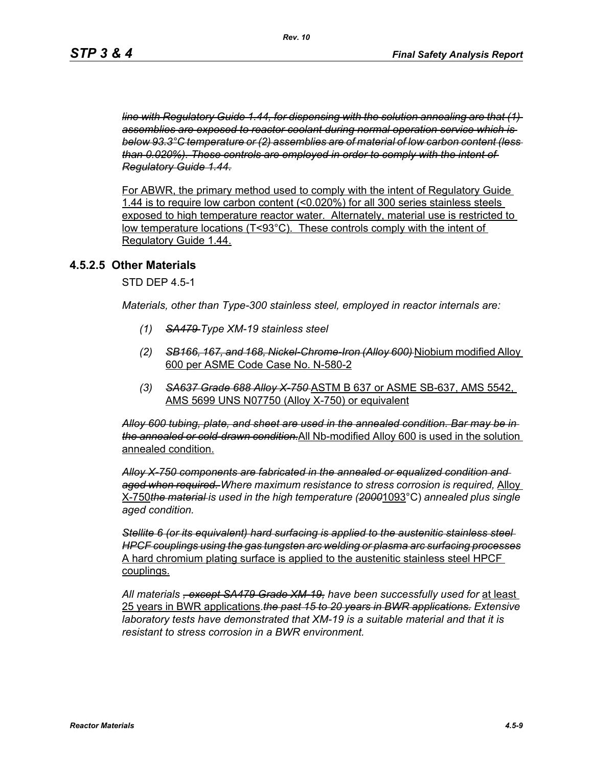*line with Regulatory Guide 1.44, for dispensing with the solution annealing are that (1) assemblies are exposed to reactor coolant during normal operation service which is below 93.3°C temperature or (2) assemblies are of material of low carbon content (less than 0.020%). These controls are employed in order to comply with the intent of Regulatory Guide 1.44.*

For ABWR, the primary method used to comply with the intent of Regulatory Guide 1.44 is to require low carbon content (<0.020%) for all 300 series stainless steels exposed to high temperature reactor water. Alternately, material use is restricted to low temperature locations (T<93°C). These controls comply with the intent of Regulatory Guide 1.44.

#### **4.5.2.5 Other Materials**

STD DEP 4.5-1

*Materials, other than Type-300 stainless steel, employed in reactor internals are:*

- *(1) SA479 Type XM-19 stainless steel*
- *(2) SB166, 167, and 168, Nickel-Chrome-Iron (Alloy 600)* Niobium modified Alloy 600 per ASME Code Case No. N-580-2
- *(3) SA637 Grade 688 Alloy X-750* ASTM B 637 or ASME SB-637, AMS 5542, AMS 5699 UNS N07750 (Alloy X-750) or equivalent

*Alloy 600 tubing, plate, and sheet are used in the annealed condition. Bar may be in the annealed or cold-drawn condition.*All Nb-modified Alloy 600 is used in the solution annealed condition.

*Alloy X-750 components are fabricated in the annealed or equalized condition and aged when required. Where maximum resistance to stress corrosion is required,* Alloy X-750*the material is used in the high temperature (2000*1093°C) *annealed plus single aged condition.*

*Stellite 6 (or its equivalent) hard surfacing is applied to the austenitic stainless steel HPCF couplings using the gas tungsten arc welding or plasma arc surfacing processes* A hard chromium plating surface is applied to the austenitic stainless steel HPCF couplings.

*All materials , except SA479 Grade XM-19, have been successfully used for* at least 25 years in BWR applications.*the past 15 to 20 years in BWR applications. Extensive laboratory tests have demonstrated that XM-19 is a suitable material and that it is resistant to stress corrosion in a BWR environment.*